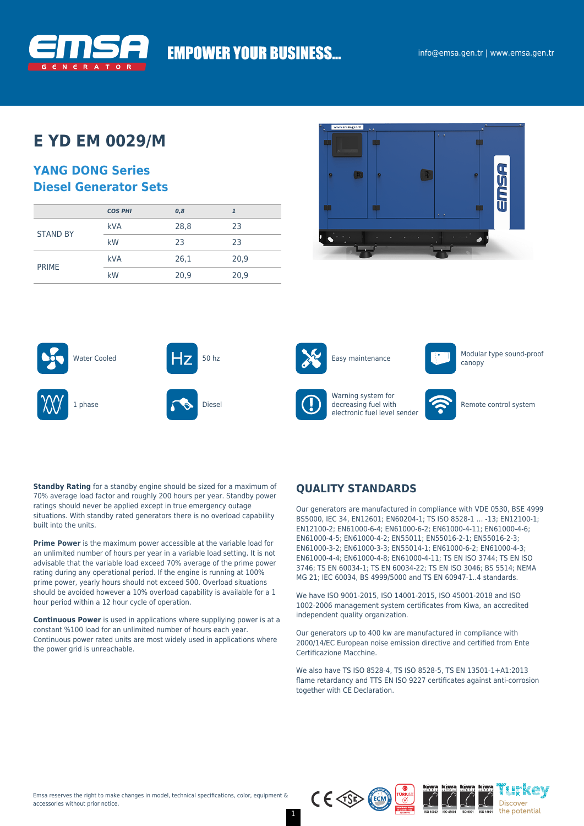

# **EMPOWER YOUR BUSINESS...**

# **E YD EM 0029/M**

### **YANG DONG Series Diesel Generator Sets**

|                 | <b>COS PHI</b> | 0,8  |      |
|-----------------|----------------|------|------|
| <b>STAND BY</b> | <b>kVA</b>     | 28,8 | 23   |
|                 | kW             | 23   | 23   |
|                 | <b>kVA</b>     | 26,1 | 20,9 |
| <b>PRIME</b>    | kW             | 20,9 | 20,9 |





**Standby Rating** for a standby engine should be sized for a maximum of 70% average load factor and roughly 200 hours per year. Standby power ratings should never be applied except in true emergency outage situations. With standby rated generators there is no overload capability built into the units.

**Prime Power** is the maximum power accessible at the variable load for an unlimited number of hours per year in a variable load setting. It is not advisable that the variable load exceed 70% average of the prime power rating during any operational period. If the engine is running at 100% prime power, yearly hours should not exceed 500. Overload situations should be avoided however a 10% overload capability is available for a 1 hour period within a 12 hour cycle of operation.

**Continuous Power** is used in applications where suppliying power is at a constant %100 load for an unlimited number of hours each year. Continuous power rated units are most widely used in applications where the power grid is unreachable.

### **QUALITY STANDARDS**

Our generators are manufactured in compliance with VDE 0530, BSE 4999 BS5000, IEC 34, EN12601; EN60204-1; TS ISO 8528-1 … -13; EN12100-1; EN12100-2; EN61000-6-4; EN61000-6-2; EN61000-4-11; EN61000-4-6; EN61000-4-5; EN61000-4-2; EN55011; EN55016-2-1; EN55016-2-3; EN61000-3-2; EN61000-3-3; EN55014-1; EN61000-6-2; EN61000-4-3; EN61000-4-4; EN61000-4-8; EN61000-4-11; TS EN ISO 3744; TS EN ISO 3746; TS EN 60034-1; TS EN 60034-22; TS EN ISO 3046; BS 5514; NEMA MG 21; IEC 60034, BS 4999/5000 and TS EN 60947-1..4 standards.

We have ISO 9001-2015, ISO 14001-2015, ISO 45001-2018 and ISO 1002-2006 management system certificates from Kiwa, an accredited independent quality organization.

Our generators up to 400 kw are manufactured in compliance with 2000/14/EC European noise emission directive and certified from Ente Certificazione Macchine.

We also have TS ISO 8528-4, TS ISO 8528-5, TS EN 13501-1+A1:2013 flame retardancy and TTS EN ISO 9227 certificates against anti-corrosion together with CE Declaration.

ih'kov

Discover the potential



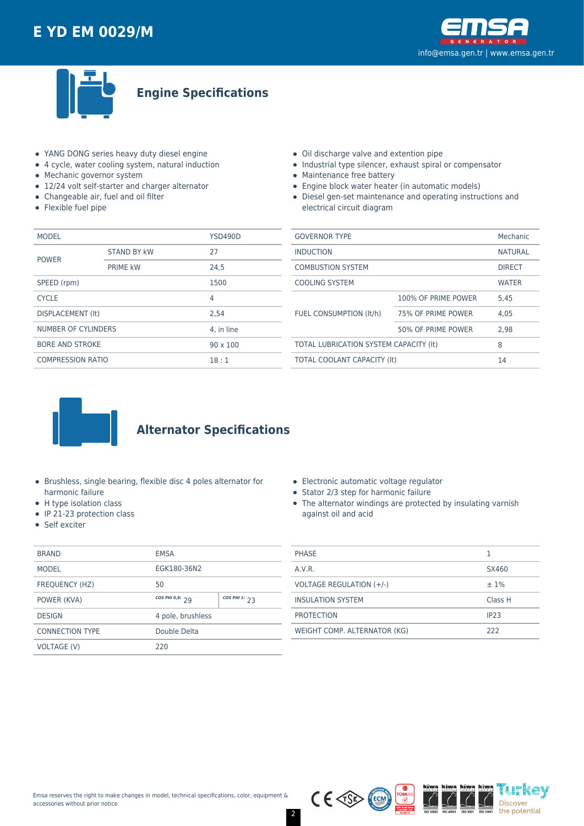



### **Engine Specifications**

- YANG DONG series heavy duty diesel engine
- 4 cycle, water cooling system, natural induction
- Mechanic governor system
- 12/24 volt self-starter and charger alternator
- Changeable air, fuel and oil filter
- Flexible fuel pipe
- Oil discharge valve and extention pipe
- Industrial type silencer, exhaust spiral or compensator
- Maintenance free battery
- Engine block water heater (in automatic models)
- Diesel gen-set maintenance and operating instructions and electrical circuit diagram

| <b>MODEL</b>                              |                    | <b>YSD490D</b> |  |
|-------------------------------------------|--------------------|----------------|--|
| <b>POWER</b>                              | <b>STAND BY kW</b> | 27             |  |
|                                           | <b>PRIME kW</b>    | 24.5           |  |
| SPEED (rpm)                               |                    | 1500           |  |
| <b>CYCLE</b>                              |                    | 4              |  |
| <b>DISPLACEMENT (It)</b>                  |                    | 2.54           |  |
| NUMBER OF CYLINDERS                       |                    | 4. in line     |  |
| <b>BORE AND STROKE</b><br>$90 \times 100$ |                    |                |  |
| <b>COMPRESSION RATIO</b>                  |                    | 18:1           |  |

| <b>GOVERNOR TYPE</b>                   |                     | Mechanic       |
|----------------------------------------|---------------------|----------------|
| <b>INDUCTION</b>                       |                     | <b>NATURAL</b> |
| <b>COMBUSTION SYSTEM</b>               |                     | <b>DIRECT</b>  |
| <b>COOLING SYSTEM</b>                  |                     | <b>WATER</b>   |
| FUEL CONSUMPTION (It/h)                | 100% OF PRIME POWER | 5.45           |
|                                        | 75% OF PRIME POWER  | 4.05           |
|                                        | 50% OF PRIME POWER  | 2.98           |
| TOTAL LUBRICATION SYSTEM CAPACITY (It) |                     | 8              |
| TOTAL COOLANT CAPACITY (It)            |                     | 14             |
|                                        |                     |                |



### **Alternator Specifications**

- Brushless, single bearing, flexible disc 4 poles alternator for harmonic failure
- H type isolation class
- IP 21-23 protection class
- Self exciter

| <b>BRAND</b>           | <b>EMSA</b>                          |  |
|------------------------|--------------------------------------|--|
| <b>MODEL</b>           | EGK180-36N2                          |  |
| <b>FREQUENCY (HZ)</b>  | 50                                   |  |
| POWER (KVA)            | COS PHI 0,8: $29$<br>COS PHI 1: $23$ |  |
| <b>DESIGN</b>          | 4 pole, brushless                    |  |
| <b>CONNECTION TYPE</b> | Double Delta                         |  |
| VOLTAGE (V)            | 220                                  |  |

|  | Electronic automatic voltage regulator |  |
|--|----------------------------------------|--|
|  |                                        |  |

- $\bullet$  Stator 2/3 step for harmonic failure
- The alternator windings are protected by insulating varnish against oil and acid

| <b>PHASE</b>                 |                  |
|------------------------------|------------------|
| A.V.R.                       | SX460            |
| VOLTAGE REGULATION (+/-)     | $±1\%$           |
| <b>INSULATION SYSTEM</b>     | Class H          |
| <b>PROTECTION</b>            | IP <sub>23</sub> |
| WEIGHT COMP. ALTERNATOR (KG) | 222              |

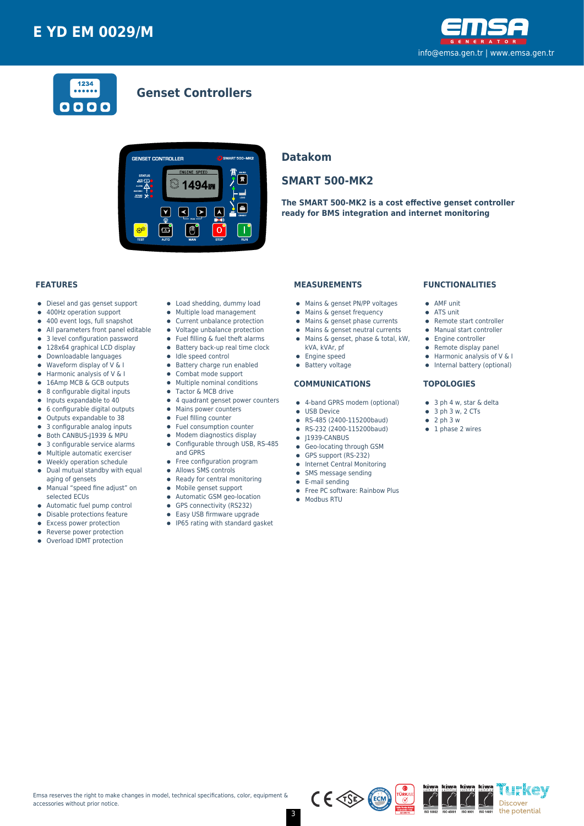



### **Genset Controllers**



### **Datakom**

### **SMART 500-MK2**

**The SMART 500-MK2 is a cost effective genset controller ready for BMS integration and internet monitoring**

#### **FEATURES**

- Diesel and gas genset support  $\bullet$
- 400Hz operation support  $\bullet$
- $\bullet$ 400 event logs, full snapshot
- All parameters front panel editable  $\bullet$
- 3 level configuration password
- 128x64 graphical LCD display  $\bullet$
- Downloadable languages  $\bullet$
- Waveform display of V & I  $\bullet$
- Harmonic analysis of V & I 16Amp MCB & GCB outputs
- 8 configurable digital inputs  $\bullet$
- $\bullet$ Inputs expandable to 40
- $\bullet$ 6 configurable digital outputs
- Outputs expandable to 38  $\bullet$
- 3 configurable analog inputs
- Both CANBUS-J1939 & MPU  $\bullet$
- 3 configurable service alarms  $\bullet$
- $\bullet$ Multiple automatic exerciser
- Weekly operation schedule  $\blacksquare$
- $\bullet$ Dual mutual standby with equal aging of gensets
- Manual "speed fine adjust" on  $\bullet$
- selected ECUs
- Automatic fuel pump control  $\bullet$
- $\bullet$ Disable protections feature
- Excess power protection
- Reverse power protection  $\bullet$
- Overload IDMT protection
- Load shedding, dummy load
- Multiple load management  $\bullet$
- Current unbalance protection
- Voltage unbalance protection
- $\bullet$ Fuel filling & fuel theft alarms
- $\bullet$  Battery back-up real time clock
- Idle speed control
- **•** Battery charge run enabled
- $\bullet$ Combat mode support
- $\bullet$ Multiple nominal conditions
- Tactor & MCB drive
- 4 quadrant genset power counters
- Mains power counters
- Fuel filling counter
- $\bullet$ Fuel consumption counter
- Modem diagnostics display  $\bullet$
- Configurable through USB, RS-485  $\bullet$
- and GPRS
- Free configuration program
- $\bullet$ Allows SMS controls
- $\bullet$ Ready for central monitoring
- Mobile genset support  $\bullet$
- Automatic GSM geo-location  $\bullet$
- GPS connectivity (RS232)
- $\bullet$ Easy USB firmware upgrade
- 
- IP65 rating with standard gasket

#### **MEASUREMENTS**

- Mains & genset PN/PP voltages
- Mains & genset frequency
- $\bullet$  Mains & genset phase currents
- $\bullet$  Mains & genset neutral currents
- Mains & genset, phase & total, kW,
	- kVA, kVAr, pf
- 
- **•** Engine speed
- **•** Battery voltage

#### **COMMUNICATIONS**

- 4-band GPRS modem (optional)
- **CONTRACTE OF LISR Device**
- RS-485 (2400-115200baud)
- RS-232 (2400-115200baud)
- $\bullet$  J1939-CANBUS
- **Geo-locating through GSM**
- GPS support (RS-232)
- **•** Internet Central Monitoring
- SMS message sending  $\bullet$
- E-mail sending
- Free PC software: Rainbow Plus

 $C \in \sqrt{SS}$ 

• Modbus RTU

#### **FUNCTIONALITIES**

- AMF unit
- ATS unit
- Remote start controller
- Manual start controller
- Engine controller
- $\bullet$  Remote display panel
- $\bullet$  Harmonic analysis of V & I
- Internal battery (optional)

'i h'kev

Discover the potential

#### **TOPOLOGIES**

- 3 ph 4 w, star & delta
- $\bullet$  3 ph 3 w, 2 CTs
- $\bullet$  2 ph 3 w
- $\bullet$  1 phase 2 wires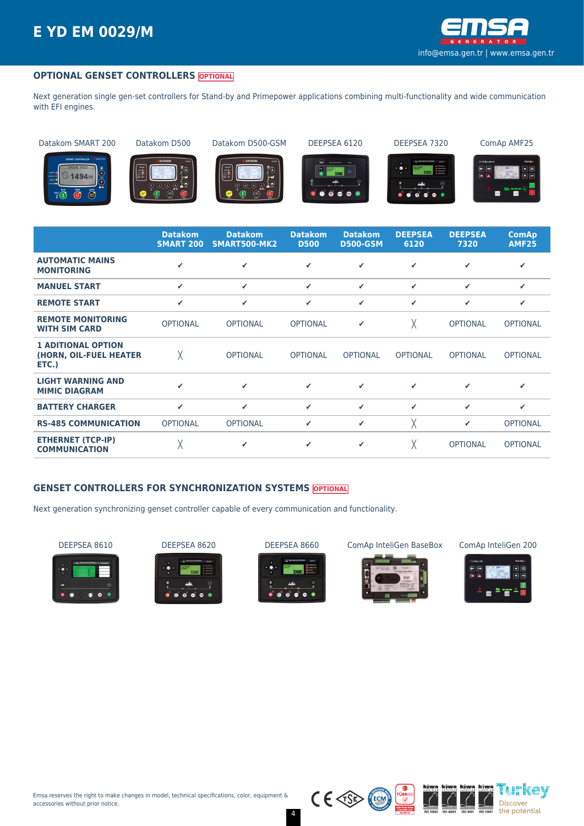

#### **OPTIONAL GENSET CONTROLLERS OPTIONAL**

Next generation single gen-set controllers for Stand-by and Primepower applications combining multi-functionality and wide communication with EFI engines.

Datakom SMART 200 Datakom D500 Datakom D500-GSM DEEPSEA 6120 DEEPSEA 7320 ComAp AMF25



















|                                                              | <b>Datakom</b><br><b>SMART 200</b> | <b>Datakom</b><br>SMART500-MK2 | <b>Datakom</b><br><b>D500</b> | <b>Datakom</b><br><b>D500-GSM</b> | <b>DEEPSEA</b><br>6120 | <b>DEEPSEA</b><br>7320 | <b>ComAp</b><br><b>AMF25</b> |
|--------------------------------------------------------------|------------------------------------|--------------------------------|-------------------------------|-----------------------------------|------------------------|------------------------|------------------------------|
| <b>AUTOMATIC MAINS</b><br><b>MONITORING</b>                  | ✔                                  | ✓                              | ✓                             | ✓                                 | ✔                      | ✔                      | ✔                            |
| <b>MANUEL START</b>                                          | $\checkmark$                       | $\checkmark$                   | ✓                             | ✓                                 | ✓                      | ✓                      | ✓                            |
| <b>REMOTE START</b>                                          | ✓                                  | $\checkmark$                   | ✓                             | ✓                                 | ✓                      | ✔                      | ✔                            |
| <b>REMOTE MONITORING</b><br><b>WITH SIM CARD</b>             | <b>OPTIONAL</b>                    | <b>OPTIONAL</b>                | <b>OPTIONAL</b>               | ✔                                 | χ                      | <b>OPTIONAL</b>        | <b>OPTIONAL</b>              |
| <b>1 ADITIONAL OPTION</b><br>(HORN, OIL-FUEL HEATER<br>ETC.) | Χ                                  | <b>OPTIONAL</b>                | <b>OPTIONAL</b>               | <b>OPTIONAL</b>                   | <b>OPTIONAL</b>        | <b>OPTIONAL</b>        | <b>OPTIONAL</b>              |
| <b>LIGHT WARNING AND</b><br><b>MIMIC DIAGRAM</b>             | ✔                                  | $\checkmark$                   | $\epsilon$                    | ✓                                 | ✔                      | ✔                      | ✔                            |
| <b>BATTERY CHARGER</b>                                       | $\checkmark$                       | $\checkmark$                   | ✓                             | ✓                                 | ✓                      | ✔                      | ✔                            |
| <b>RS-485 COMMUNICATION</b>                                  | <b>OPTIONAL</b>                    | <b>OPTIONAL</b>                | ✓                             | ✔                                 | χ                      | ✔                      | <b>OPTIONAL</b>              |
| <b>ETHERNET (TCP-IP)</b><br><b>COMMUNICATION</b>             | χ                                  | ✓                              | ✓                             | ✓                                 | χ                      | <b>OPTIONAL</b>        | <b>OPTIONAL</b>              |

#### **GENSET CONTROLLERS FOR SYNCHRONIZATION SYSTEMS OPTIONAL**

Next generation synchronizing genset controller capable of every communication and functionality.

















 $C \in \text{CSP}$